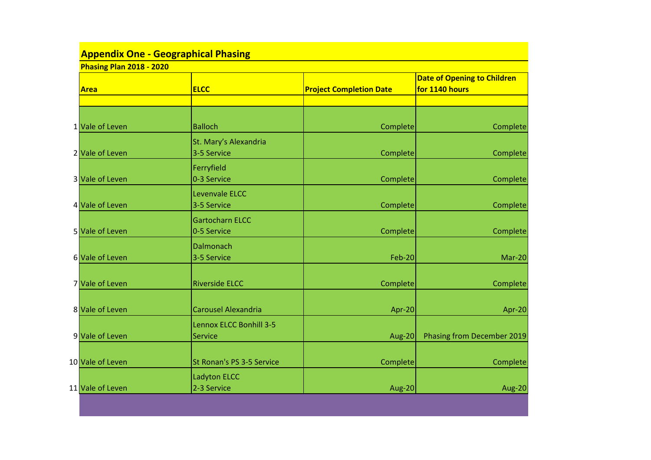| <b>Appendix One - Geographical Phasing</b>     |                                       |                                |                                                      |  |  |  |  |
|------------------------------------------------|---------------------------------------|--------------------------------|------------------------------------------------------|--|--|--|--|
| <b>Phasing Plan 2018 - 2020</b><br><b>Area</b> | <b>ELCC</b>                           | <b>Project Completion Date</b> | <b>Date of Opening to Children</b><br>for 1140 hours |  |  |  |  |
|                                                |                                       |                                |                                                      |  |  |  |  |
| 1 Vale of Leven                                | <b>Balloch</b>                        | Complete                       | Complete                                             |  |  |  |  |
| 2 Vale of Leven                                | St. Mary's Alexandria<br>3-5 Service  | Complete                       | Complete                                             |  |  |  |  |
| 3 Vale of Leven                                | Ferryfield<br>0-3 Service             | Complete                       | Complete                                             |  |  |  |  |
| 4 Vale of Leven                                | Levenvale ELCC<br>3-5 Service         | Complete                       | Complete                                             |  |  |  |  |
| 5 Vale of Leven                                | <b>Gartocharn ELCC</b><br>0-5 Service | Complete                       | Complete                                             |  |  |  |  |
| 6 Vale of Leven                                | Dalmonach<br>3-5 Service              | <b>Feb-20</b>                  | $Mar-20$                                             |  |  |  |  |
| 7 Vale of Leven                                | <b>Riverside ELCC</b>                 | Complete                       | Complete                                             |  |  |  |  |
| 8 Vale of Leven                                | <b>Carousel Alexandria</b>            | Apr-20                         | Apr-20                                               |  |  |  |  |
| 9 Vale of Leven                                | Lennox ELCC Bonhill 3-5<br>Service    | Aug-20                         | <b>Phasing from December 2019</b>                    |  |  |  |  |
| 10 Vale of Leven                               | St Ronan's PS 3-5 Service             | Complete                       | Complete                                             |  |  |  |  |
| 11 Vale of Leven                               | <b>Ladyton ELCC</b><br>2-3 Service    | Aug-20                         | Aug-20                                               |  |  |  |  |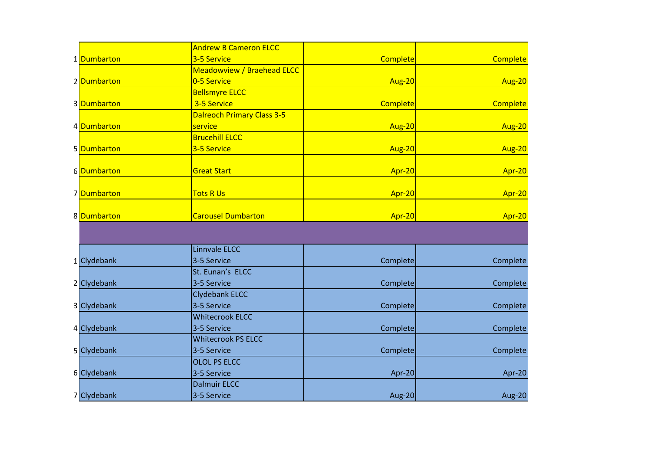|             | <b>Andrew B Cameron ELCC</b>      |               |                 |
|-------------|-----------------------------------|---------------|-----------------|
| 1 Dumbarton | 3-5 Service                       | Complete      | <b>Complete</b> |
|             | <b>Meadowview / Braehead ELCC</b> |               |                 |
| 2 Dumbarton | 0-5 Service                       | <b>Aug-20</b> | Aug-20          |
|             | <b>Bellsmyre ELCC</b>             |               |                 |
| 3 Dumbarton | 3-5 Service                       | Complete      | <b>Complete</b> |
|             | <b>Dalreoch Primary Class 3-5</b> |               |                 |
| 4 Dumbarton | service                           | Aug-20        | Aug-20          |
|             | <b>Brucehill ELCC</b>             |               |                 |
| 5 Dumbarton | 3-5 Service                       | <b>Aug-20</b> | Aug-20          |
|             |                                   |               |                 |
| 6Dumbarton  | <b>Great Start</b>                | Apr-20        | Apr-20          |
|             |                                   |               |                 |
| 7Dumbarton  | <b>Tots R Us</b>                  | Apr-20        | Apr-20          |
|             |                                   |               |                 |
| 8 Dumbarton | <b>Carousel Dumbarton</b>         | Apr-20        | Apr-20          |
|             |                                   |               |                 |
|             |                                   |               |                 |
|             | Linnvale ELCC                     |               |                 |
| 1 Clydebank | 3-5 Service                       | Complete      | Complete        |
|             | St. Eunan's ELCC                  |               |                 |
| 2 Clydebank | 3-5 Service                       | Complete      | Complete        |
|             | <b>Clydebank ELCC</b>             |               |                 |
| 3 Clydebank | 3-5 Service                       | Complete      | Complete        |
|             | <b>Whitecrook ELCC</b>            |               |                 |
| 4 Clydebank | 3-5 Service                       | Complete      | Complete        |
|             | <b>Whitecrook PS ELCC</b>         |               |                 |
| 5 Clydebank | 3-5 Service                       | Complete      | Complete        |
|             | <b>OLOL PS ELCC</b>               |               |                 |
| 6 Clydebank | 3-5 Service                       | Apr-20        | Apr-20          |
|             | <b>Dalmuir ELCC</b>               |               |                 |
| 7 Clydebank | 3-5 Service                       | <b>Aug-20</b> | <b>Aug-20</b>   |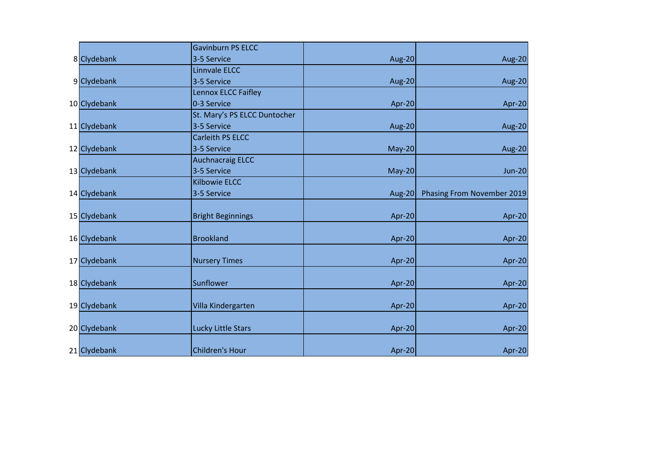|              | <b>Gavinburn PS ELCC</b>     |               |                            |
|--------------|------------------------------|---------------|----------------------------|
| 8 Clydebank  | 3-5 Service                  | Aug-20        | Aug-20                     |
|              | Linnvale ELCC                |               |                            |
| 9 Clydebank  | 3-5 Service                  | <b>Aug-20</b> | Aug-20                     |
|              | Lennox ELCC Faifley          |               |                            |
| 10 Clydebank | 0-3 Service                  | Apr-20        | Apr-20                     |
|              | St. Mary's PS ELCC Duntocher |               |                            |
| 11 Clydebank | 3-5 Service                  | Aug-20        | Aug-20                     |
|              | Carleith PS ELCC             |               |                            |
| 12 Clydebank | 3-5 Service                  | $May-20$      | Aug-20                     |
|              | <b>Auchnacraig ELCC</b>      |               |                            |
| 13 Clydebank | 3-5 Service                  | $May-20$      | <b>Jun-20</b>              |
|              | <b>Kilbowie ELCC</b>         |               |                            |
| 14 Clydebank | 3-5 Service                  | Aug-20        | Phasing From November 2019 |
|              |                              |               |                            |
| 15 Clydebank | <b>Bright Beginnings</b>     | Apr-20        | Apr-20                     |
|              |                              |               |                            |
| 16 Clydebank | <b>Brookland</b>             | Apr-20        | Apr-20                     |
|              |                              |               |                            |
| 17 Clydebank | <b>Nursery Times</b>         | Apr-20        | Apr-20                     |
|              |                              |               |                            |
| 18 Clydebank | Sunflower                    | Apr-20        | Apr-20                     |
|              |                              |               |                            |
| 19 Clydebank | Villa Kindergarten           | Apr-20        | Apr-20                     |
|              |                              |               |                            |
| 20 Clydebank | Lucky Little Stars           | Apr-20        | Apr-20                     |
|              |                              |               |                            |
| 21 Clydebank | Children's Hour              | Apr-20        | Apr-20                     |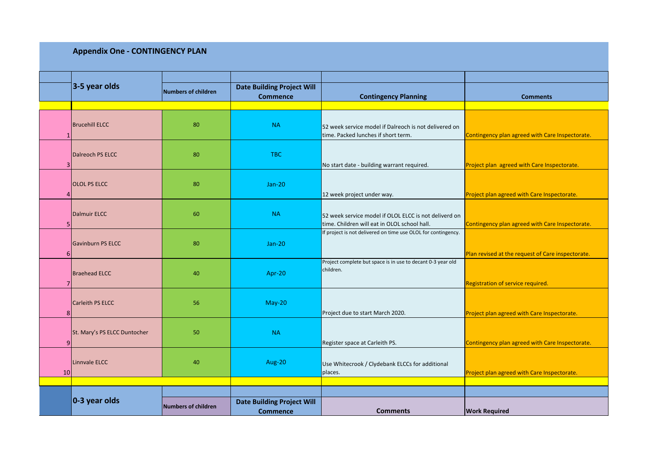## **Appendix One - CONTINGENCY PLAN**

|                | 3-5 year olds                |                            | <b>Date Building Project Will</b> |                                                               |                                                   |  |  |
|----------------|------------------------------|----------------------------|-----------------------------------|---------------------------------------------------------------|---------------------------------------------------|--|--|
|                |                              | <b>Numbers of children</b> | <b>Commence</b>                   | <b>Contingency Planning</b>                                   | <b>Comments</b>                                   |  |  |
|                |                              |                            |                                   |                                                               |                                                   |  |  |
|                |                              |                            |                                   |                                                               |                                                   |  |  |
|                | <b>Brucehill ELCC</b>        | 80                         | <b>NA</b>                         | 52 week service model if Dalreoch is not delivered on         |                                                   |  |  |
|                |                              |                            |                                   | time. Packed lunches if short term.                           | Contingency plan agreed with Care Inspectorate.   |  |  |
|                |                              |                            |                                   |                                                               |                                                   |  |  |
|                | Dalreoch PS ELCC             | 80                         | <b>TBC</b>                        |                                                               |                                                   |  |  |
|                |                              |                            |                                   |                                                               |                                                   |  |  |
| 3              |                              |                            |                                   | No start date - building warrant required.                    | Project plan agreed with Care Inspectorate.       |  |  |
|                |                              |                            |                                   |                                                               |                                                   |  |  |
|                | <b>OLOL PS ELCC</b>          | 80                         | <b>Jan-20</b>                     |                                                               |                                                   |  |  |
|                |                              |                            |                                   | 12 week project under way.                                    | Project plan agreed with Care Inspectorate.       |  |  |
|                |                              |                            |                                   |                                                               |                                                   |  |  |
|                | Dalmuir ELCC                 | 60                         | <b>NA</b>                         | 52 week service model if OLOL ELCC is not deliverd on         |                                                   |  |  |
|                |                              |                            |                                   | time. Children will eat in OLOL school hall.                  | Contingency plan agreed with Care Inspectorate.   |  |  |
|                |                              |                            |                                   | If project is not delivered on time use OLOL for contingency. |                                                   |  |  |
|                | Gavinburn PS ELCC            | 80                         | <b>Jan-20</b>                     |                                                               |                                                   |  |  |
| 6              |                              |                            |                                   |                                                               | Plan revised at the request of Care inspectorate. |  |  |
|                |                              |                            |                                   | Project complete but space is in use to decant 0-3 year old   |                                                   |  |  |
|                | <b>Braehead ELCC</b>         | 40                         | Apr-20                            | children.                                                     |                                                   |  |  |
|                |                              |                            |                                   |                                                               | Registration of service required.                 |  |  |
|                |                              |                            |                                   |                                                               |                                                   |  |  |
|                | Carleith PS ELCC             | 56                         | <b>May-20</b>                     |                                                               |                                                   |  |  |
| 8              |                              |                            |                                   | Project due to start March 2020.                              | Project plan agreed with Care Inspectorate.       |  |  |
|                |                              |                            |                                   |                                                               |                                                   |  |  |
|                | St. Mary's PS ELCC Duntocher | 50                         | <b>NA</b>                         |                                                               |                                                   |  |  |
| 9 <sub>1</sub> |                              |                            |                                   | Register space at Carleith PS.                                | Contingency plan agreed with Care Inspectorate.   |  |  |
|                |                              |                            |                                   |                                                               |                                                   |  |  |
|                | Linnvale ELCC                | 40                         | Aug-20                            |                                                               |                                                   |  |  |
| 10             |                              |                            |                                   | Use Whitecrook / Clydebank ELCCs for additional<br>places.    | Project plan agreed with Care Inspectorate.       |  |  |
|                |                              |                            |                                   |                                                               |                                                   |  |  |
|                |                              |                            |                                   |                                                               |                                                   |  |  |
|                | 0-3 year olds                |                            | <b>Date Building Project Will</b> |                                                               |                                                   |  |  |
|                |                              | <b>Numbers of children</b> |                                   |                                                               |                                                   |  |  |
|                |                              |                            | <b>Commence</b>                   | <b>Comments</b>                                               | <b>Work Required</b>                              |  |  |